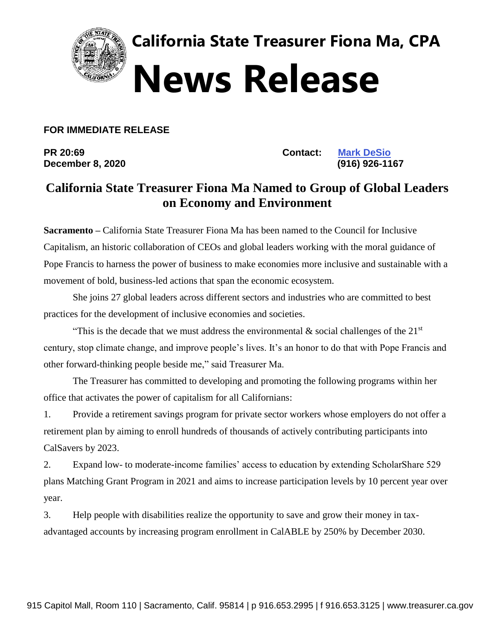

**California State Treasurer Fiona Ma, CPA News Release** 

**FOR IMMEDIATE RELEASE**

**PR 20:69 Contact: [Mark DeSio](mailto:Mark.Desio@treasurer.ca.gov) December 8, 2020 (916) 926-1167** 

## **California State Treasurer Fiona Ma Named to Group of Global Leaders on Economy and Environment**

**Sacramento –** California State Treasurer Fiona Ma has been named to the Council for Inclusive Capitalism, an historic collaboration of CEOs and global leaders working with the moral guidance of Pope Francis to harness the power of business to make economies more inclusive and sustainable with a movement of bold, business-led actions that span the economic ecosystem.

She joins 27 global leaders across different sectors and industries who are committed to best practices for the development of inclusive economies and societies.

"This is the decade that we must address the environmental & social challenges of the 21<sup>st</sup> century, stop climate change, and improve people's lives. It's an honor to do that with Pope Francis and other forward-thinking people beside me," said Treasurer Ma.

The Treasurer has committed to developing and promoting the following programs within her office that activates the power of capitalism for all Californians:

1. Provide a retirement savings program for private sector workers whose employers do not offer a retirement plan by aiming to enroll hundreds of thousands of actively contributing participants into CalSavers by 2023.

2. Expand low- to moderate-income families' access to education by extending ScholarShare 529 plans Matching Grant Program in 2021 and aims to increase participation levels by 10 percent year over year.

3. Help people with disabilities realize the opportunity to save and grow their money in taxadvantaged accounts by increasing program enrollment in CalABLE by 250% by December 2030.